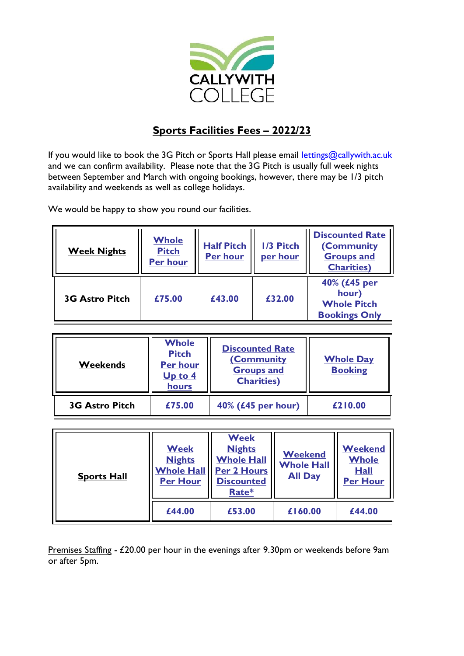

## **Sports Facilities Fees – 2022/23**

If you would like to book the 3G Pitch or Sports Hall please email [lettings@callywith.ac.uk](mailto:lettings@callywith.ac.uk) and we can confirm availability. Please note that the 3G Pitch is usually full week nights between September and March with ongoing bookings, however, there may be 1/3 pitch availability and weekends as well as college holidays.

We would be happy to show you round our facilities.

| <b>Week Nights</b>    | <b>Whole</b><br><b>Pitch</b><br><b>Per hour</b> | <b>Half Pitch</b><br><b>Per hour</b> | 1/3 Pitch<br>per hour | <b>Discounted Rate</b><br>(Community<br><b>Groups and</b><br><b>Charities</b> ) |
|-----------------------|-------------------------------------------------|--------------------------------------|-----------------------|---------------------------------------------------------------------------------|
| <b>3G Astro Pitch</b> | £75.00                                          | £43.00                               | £32.00                | 40% (£45 per<br>hour)<br><b>Whole Pitch</b><br><b>Bookings Only</b>             |

| <b>Weekends</b>       | Whole<br><b>Pitch</b><br><b>Per hour</b><br>Up to 4<br>hours | <b>Discounted Rate</b><br>(Community<br><b>Groups and</b><br><b>Charities</b> ) | <b>Whole Day</b><br><b>Booking</b> |
|-----------------------|--------------------------------------------------------------|---------------------------------------------------------------------------------|------------------------------------|
| <b>3G Astro Pitch</b> | £75.00                                                       | 40% (£45 per hour)                                                              | £210.00                            |

| <b>Sports Hall</b> | <b>Week</b><br><b>Nights</b><br><b>Whole Hall</b><br><b>Per Hour</b> | <b>Week</b><br><b>Nights</b><br><b>Whole Hall</b><br>Per 2 Hours<br><b>Discounted</b><br>Rate* | <b>Weekend</b><br><b>Whole Hall</b><br><b>All Day</b> | <b>Weekend</b><br><b>Whole</b><br><b>Hall</b><br><b>Per Hour</b> |
|--------------------|----------------------------------------------------------------------|------------------------------------------------------------------------------------------------|-------------------------------------------------------|------------------------------------------------------------------|
|                    | £44.00                                                               | £53.00                                                                                         | £160.00                                               | £44.00                                                           |

Premises Staffing - £20.00 per hour in the evenings after 9.30pm or weekends before 9am or after 5pm.